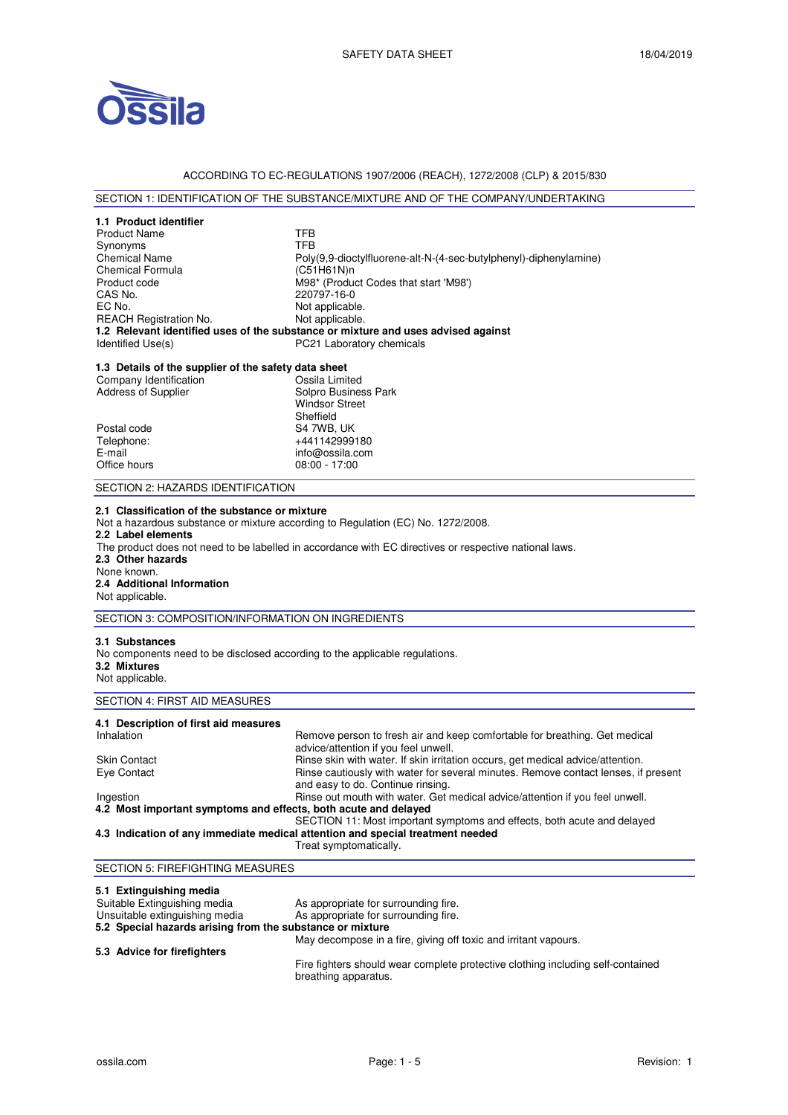

### ACCORDING TO EC-REGULATIONS 1907/2006 (REACH), 1272/2008 (CLP) & 2015/830

# SECTION 1: IDENTIFICATION OF THE SUBSTANCE/MIXTURE AND OF THE COMPANY/UNDERTAKING

| 1.1 Product identifier                                                                                                           |                                                                                                                |
|----------------------------------------------------------------------------------------------------------------------------------|----------------------------------------------------------------------------------------------------------------|
| <b>Product Name</b>                                                                                                              | TFB                                                                                                            |
| Synonyms                                                                                                                         | <b>TFB</b>                                                                                                     |
| <b>Chemical Name</b>                                                                                                             | Poly(9,9-dioctylfluorene-alt-N-(4-sec-butylphenyl)-diphenylamine)                                              |
| <b>Chemical Formula</b>                                                                                                          | (C51H61N)n                                                                                                     |
| Product code                                                                                                                     | M98* (Product Codes that start 'M98')                                                                          |
| CAS No.                                                                                                                          | 220797-16-0                                                                                                    |
| EC No.                                                                                                                           | Not applicable.                                                                                                |
| <b>REACH Registration No.</b>                                                                                                    | Not applicable.                                                                                                |
| Identified Use(s)                                                                                                                | 1.2 Relevant identified uses of the substance or mixture and uses advised against<br>PC21 Laboratory chemicals |
|                                                                                                                                  |                                                                                                                |
| 1.3 Details of the supplier of the safety data sheet                                                                             |                                                                                                                |
| Company Identification                                                                                                           | Ossila Limited                                                                                                 |
| <b>Address of Supplier</b>                                                                                                       | Solpro Business Park                                                                                           |
|                                                                                                                                  | <b>Windsor Street</b>                                                                                          |
|                                                                                                                                  | Sheffield                                                                                                      |
| Postal code                                                                                                                      | S4 7WB, UK                                                                                                     |
| Telephone:                                                                                                                       | +441142999180                                                                                                  |
| E-mail                                                                                                                           | info@ossila.com                                                                                                |
| Office hours                                                                                                                     | $08:00 - 17:00$                                                                                                |
| SECTION 2: HAZARDS IDENTIFICATION                                                                                                |                                                                                                                |
| 2.3 Other hazards<br>None known.<br>2.4 Additional Information<br>Not applicable.                                                |                                                                                                                |
| SECTION 3: COMPOSITION/INFORMATION ON INGREDIENTS                                                                                |                                                                                                                |
| 3.1 Substances<br>No components need to be disclosed according to the applicable regulations.<br>3.2 Mixtures<br>Not applicable. |                                                                                                                |
| SECTION 4: FIRST AID MEASURES                                                                                                    |                                                                                                                |
| 4.1 Description of first aid measures                                                                                            |                                                                                                                |
| Inhalation                                                                                                                       | Remove person to fresh air and keep comfortable for breathing. Get medical                                     |
|                                                                                                                                  | advice/attention if you feel unwell.                                                                           |
| <b>Skin Contact</b>                                                                                                              | Rinse skin with water. If skin irritation occurs, get medical advice/attention.                                |
| Eye Contact                                                                                                                      | Rinse cautiously with water for several minutes. Remove contact lenses, if present                             |
|                                                                                                                                  | and easy to do. Continue rinsing.                                                                              |
| Ingestion                                                                                                                        | Rinse out mouth with water. Get medical advice/attention if you feel unwell.                                   |
| 4.2 Most important symptoms and effects, both acute and delayed                                                                  |                                                                                                                |
|                                                                                                                                  | SECTION 11: Most important symptoms and effects, both acute and delayed                                        |
|                                                                                                                                  | 4.3 Indication of any immediate medical attention and special treatment needed                                 |
|                                                                                                                                  | Treat symptomatically.                                                                                         |
| SECTION 5: FIREFIGHTING MEASURES                                                                                                 |                                                                                                                |
| 5.1 Extinguishing media                                                                                                          |                                                                                                                |
| Suitable Extinguiching media                                                                                                     | Ae annropriate for eurrounding fire                                                                            |

Fire fighters should wear complete protective clothing including self-contained breathing apparatus.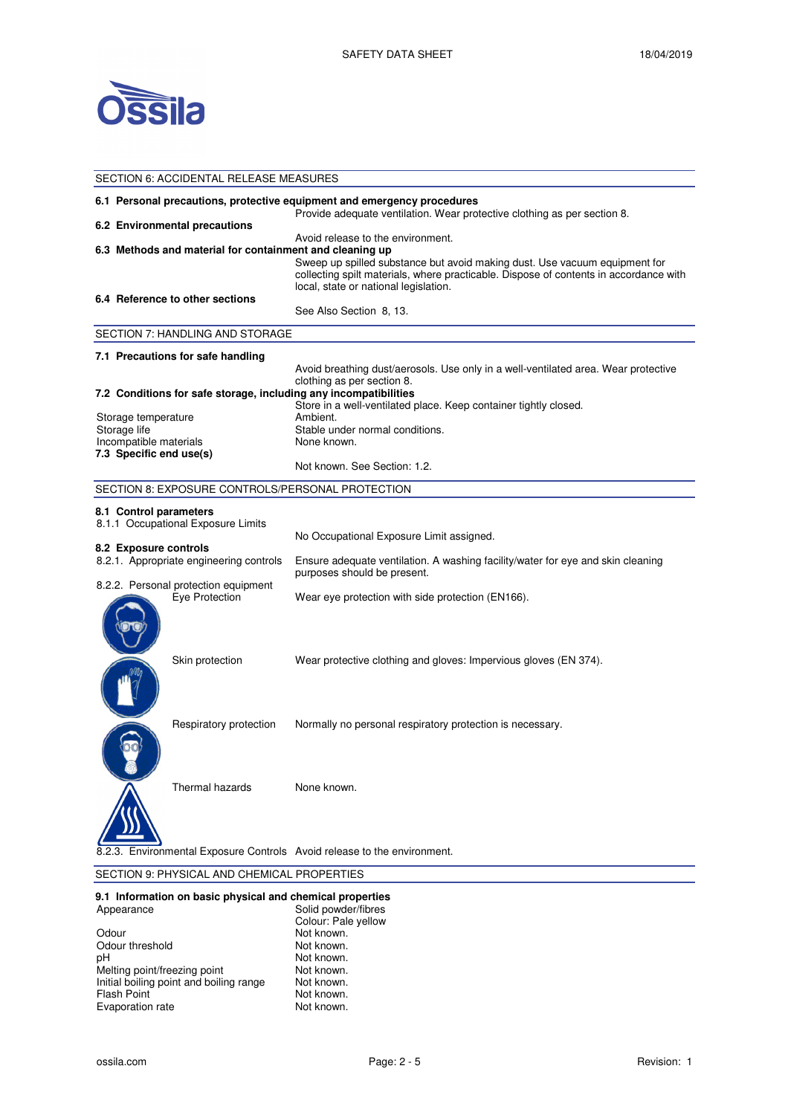

|                                                                                                                                                     | SECTION 6: ACCIDENTAL RELEASE MEASURES                   |                                                                                                                                                                                                                                                   |  |  |
|-----------------------------------------------------------------------------------------------------------------------------------------------------|----------------------------------------------------------|---------------------------------------------------------------------------------------------------------------------------------------------------------------------------------------------------------------------------------------------------|--|--|
| 6.1 Personal precautions, protective equipment and emergency procedures<br>Provide adequate ventilation. Wear protective clothing as per section 8. |                                                          |                                                                                                                                                                                                                                                   |  |  |
|                                                                                                                                                     | 6.2 Environmental precautions                            |                                                                                                                                                                                                                                                   |  |  |
|                                                                                                                                                     | 6.3 Methods and material for containment and cleaning up | Avoid release to the environment.<br>Sweep up spilled substance but avoid making dust. Use vacuum equipment for<br>collecting spilt materials, where practicable. Dispose of contents in accordance with<br>local, state or national legislation. |  |  |
|                                                                                                                                                     | 6.4 Reference to other sections                          |                                                                                                                                                                                                                                                   |  |  |
|                                                                                                                                                     |                                                          | See Also Section 8, 13.                                                                                                                                                                                                                           |  |  |
|                                                                                                                                                     | SECTION 7: HANDLING AND STORAGE                          |                                                                                                                                                                                                                                                   |  |  |
|                                                                                                                                                     | 7.1 Precautions for safe handling                        |                                                                                                                                                                                                                                                   |  |  |
|                                                                                                                                                     |                                                          | Avoid breathing dust/aerosols. Use only in a well-ventilated area. Wear protective                                                                                                                                                                |  |  |
|                                                                                                                                                     |                                                          | clothing as per section 8.<br>7.2 Conditions for safe storage, including any incompatibilities                                                                                                                                                    |  |  |
|                                                                                                                                                     |                                                          | Store in a well-ventilated place. Keep container tightly closed.                                                                                                                                                                                  |  |  |
| Storage temperature                                                                                                                                 |                                                          | Ambient.                                                                                                                                                                                                                                          |  |  |
| Storage life                                                                                                                                        |                                                          | Stable under normal conditions.                                                                                                                                                                                                                   |  |  |
| Incompatible materials<br>7.3 Specific end use(s)                                                                                                   |                                                          | None known.                                                                                                                                                                                                                                       |  |  |
|                                                                                                                                                     |                                                          | Not known. See Section: 1.2.                                                                                                                                                                                                                      |  |  |
|                                                                                                                                                     | SECTION 8: EXPOSURE CONTROLS/PERSONAL PROTECTION         |                                                                                                                                                                                                                                                   |  |  |
| 8.1 Control parameters                                                                                                                              |                                                          |                                                                                                                                                                                                                                                   |  |  |
|                                                                                                                                                     | 8.1.1 Occupational Exposure Limits                       |                                                                                                                                                                                                                                                   |  |  |
|                                                                                                                                                     |                                                          | No Occupational Exposure Limit assigned.                                                                                                                                                                                                          |  |  |
| 8.2 Exposure controls                                                                                                                               |                                                          |                                                                                                                                                                                                                                                   |  |  |
|                                                                                                                                                     | 8.2.1. Appropriate engineering controls                  | Ensure adequate ventilation. A washing facility/water for eye and skin cleaning<br>purposes should be present.                                                                                                                                    |  |  |
|                                                                                                                                                     | 8.2.2. Personal protection equipment<br>Eye Protection   | Wear eye protection with side protection (EN166).                                                                                                                                                                                                 |  |  |
|                                                                                                                                                     | Skin protection                                          | Wear protective clothing and gloves: Impervious gloves (EN 374).                                                                                                                                                                                  |  |  |
|                                                                                                                                                     |                                                          |                                                                                                                                                                                                                                                   |  |  |
|                                                                                                                                                     | Respiratory protection                                   | Normally no personal respiratory protection is necessary.                                                                                                                                                                                         |  |  |
|                                                                                                                                                     | Thermal hazards                                          | None known.                                                                                                                                                                                                                                       |  |  |
|                                                                                                                                                     |                                                          | Environmental Exposure Controls Avoid release to the environment.                                                                                                                                                                                 |  |  |

# SECTION 9: PHYSICAL AND CHEMICAL PROPERTIES

#### **9.1 Information on basic physical and chemical properties**

| Appearance                              | Solid powder/fibres |  |
|-----------------------------------------|---------------------|--|
|                                         | Colour: Pale yellow |  |
| Odour                                   | Not known.          |  |
| Odour threshold                         | Not known.          |  |
| рH                                      | Not known.          |  |
| Melting point/freezing point            | Not known.          |  |
| Initial boiling point and boiling range | Not known.          |  |
| <b>Flash Point</b>                      | Not known.          |  |
| Evaporation rate                        | Not known.          |  |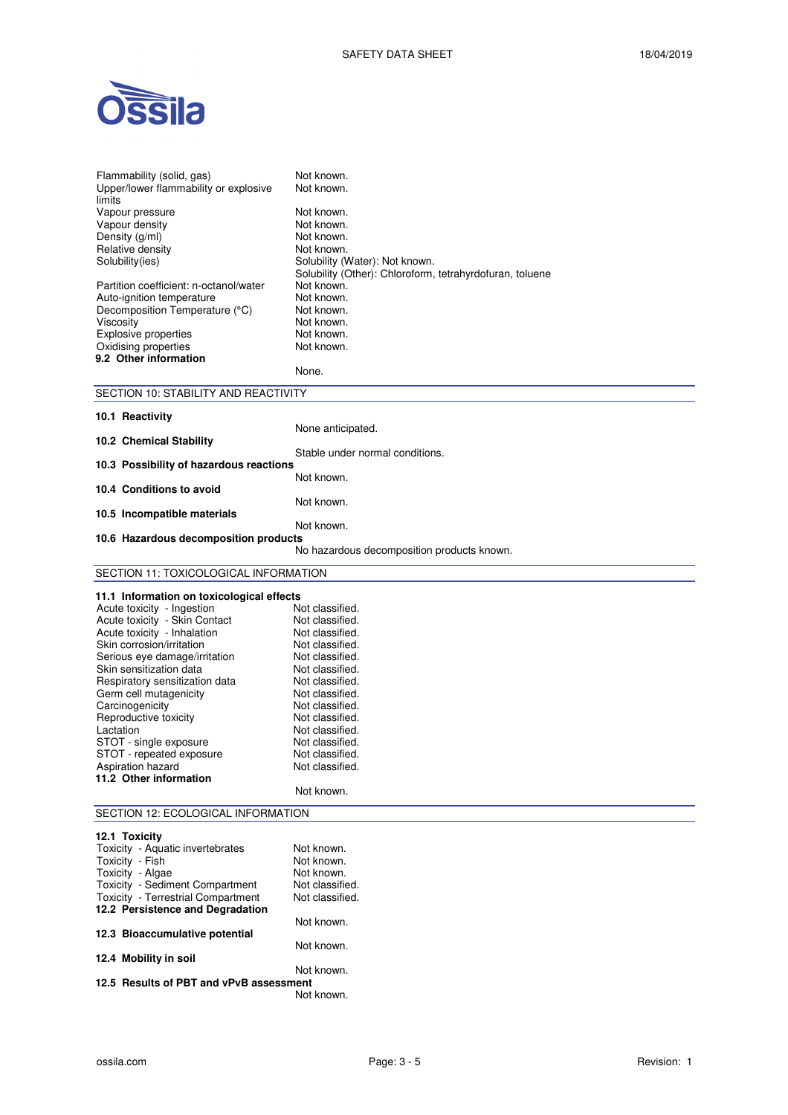

| Flammability (solid, gas)<br>Upper/lower flammability or explosive<br>limits | Not known.<br>Not known.                                 |
|------------------------------------------------------------------------------|----------------------------------------------------------|
| Vapour pressure                                                              | Not known.                                               |
| Vapour density                                                               | Not known.                                               |
| Density (g/ml)                                                               | Not known.                                               |
| Relative density<br>Solubility(ies)                                          | Not known.<br>Solubility (Water): Not known.             |
|                                                                              | Solubility (Other): Chloroform, tetrahyrdofuran, toluene |
| Partition coefficient: n-octanol/water                                       | Not known.                                               |
| Auto-ignition temperature                                                    | Not known.                                               |
| Decomposition Temperature (°C)                                               | Not known.                                               |
| Viscosity                                                                    | Not known.                                               |
| Explosive properties                                                         | Not known.                                               |
| Oxidising properties<br>9.2 Other information                                | Not known.                                               |
|                                                                              | None.                                                    |
|                                                                              |                                                          |
| SECTION 10: STABILITY AND REACTIVITY                                         |                                                          |
| 10.1 Reactivity                                                              |                                                          |
|                                                                              | None anticipated.                                        |
| 10.2 Chemical Stability                                                      | Stable under normal conditions.                          |
| 10.3 Possibility of hazardous reactions                                      |                                                          |
|                                                                              | Not known.                                               |
| 10.4 Conditions to avoid                                                     |                                                          |
|                                                                              | Not known.                                               |
| 10.5 Incompatible materials                                                  | Not known.                                               |
| 10.6 Hazardous decomposition products                                        |                                                          |
|                                                                              | No hazardous decomposition products known.               |
| SECTION 11: TOXICOLOGICAL INFORMATION                                        |                                                          |
|                                                                              |                                                          |
| 11.1 Information on toxicological effects                                    |                                                          |
| Acute toxicity - Ingestion                                                   | Not classified.                                          |
| Acute toxicity - Skin Contact<br>Acute toxicity - Inhalation                 | Not classified.<br>Not classified.                       |
| Skin corrosion/irritation                                                    | Not classified.                                          |
| Serious eye damage/irritation                                                | Not classified.                                          |
| Skin sensitization data                                                      | Not classified.                                          |
| Respiratory sensitization data                                               | Not classified.                                          |
| Germ cell mutagenicity                                                       | Not classified.                                          |
| Carcinogenicity                                                              | Not classified.                                          |
| Reproductive toxicity                                                        | Not classified.                                          |
| Lactation                                                                    | Not classified.                                          |
| STOT - single exposure<br>STOT - repeated exposure                           | Not classified.<br>Not classified.                       |
| Aspiration hazard                                                            | Not classified.                                          |
| 11.2 Other information                                                       |                                                          |
|                                                                              | Not known.                                               |
| SECTION 12: ECOLOGICAL INFORMATION                                           |                                                          |
|                                                                              |                                                          |
|                                                                              |                                                          |
| 12.1 Toxicity                                                                |                                                          |
| Toxicity - Aquatic invertebrates                                             | Not known.                                               |
| Toxicity - Fish                                                              | Not known.                                               |
| Toxicity - Algae                                                             | Not known.                                               |
| Toxicity - Sediment Compartment                                              | Not classified.                                          |
| Toxicity - Terrestrial Compartment                                           | Not classified.                                          |
| 12.2 Persistence and Degradation                                             | Not known.                                               |
| 12.3 Bioaccumulative potential                                               |                                                          |
|                                                                              | Not known.                                               |
| 12.4 Mobility in soil                                                        | Not known.                                               |

12.5 Results of PBT and vPvB ass Not known.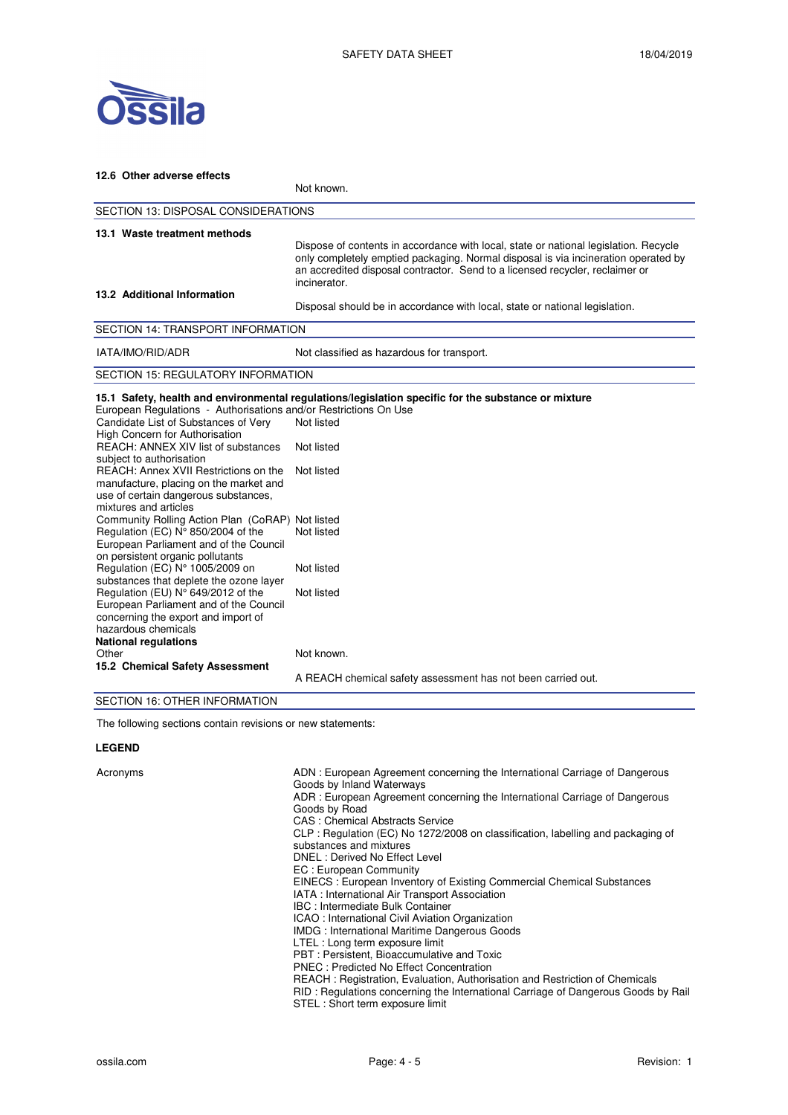

| 12.6 Other adverse effects                                                                                                                                                                                                                                                                                                                                        |                                                                                                                                                                                                                                                                            |  |  |  |
|-------------------------------------------------------------------------------------------------------------------------------------------------------------------------------------------------------------------------------------------------------------------------------------------------------------------------------------------------------------------|----------------------------------------------------------------------------------------------------------------------------------------------------------------------------------------------------------------------------------------------------------------------------|--|--|--|
|                                                                                                                                                                                                                                                                                                                                                                   | Not known.                                                                                                                                                                                                                                                                 |  |  |  |
| <b>SECTION 13: DISPOSAL CONSIDERATIONS</b>                                                                                                                                                                                                                                                                                                                        |                                                                                                                                                                                                                                                                            |  |  |  |
| 13.1 Waste treatment methods                                                                                                                                                                                                                                                                                                                                      | Dispose of contents in accordance with local, state or national legislation. Recycle<br>only completely emptied packaging. Normal disposal is via incineration operated by<br>an accredited disposal contractor. Send to a licensed recycler, reclaimer or<br>incinerator. |  |  |  |
| 13.2 Additional Information                                                                                                                                                                                                                                                                                                                                       | Disposal should be in accordance with local, state or national legislation.                                                                                                                                                                                                |  |  |  |
| <b>SECTION 14: TRANSPORT INFORMATION</b>                                                                                                                                                                                                                                                                                                                          |                                                                                                                                                                                                                                                                            |  |  |  |
| IATA/IMO/RID/ADR                                                                                                                                                                                                                                                                                                                                                  | Not classified as hazardous for transport.                                                                                                                                                                                                                                 |  |  |  |
| <b>SECTION 15: REGULATORY INFORMATION</b>                                                                                                                                                                                                                                                                                                                         |                                                                                                                                                                                                                                                                            |  |  |  |
| European Regulations - Authorisations and/or Restrictions On Use<br>Candidate List of Substances of Very<br>High Concern for Authorisation<br>REACH: ANNEX XIV list of substances<br>subject to authorisation<br>REACH: Annex XVII Restrictions on the<br>manufacture, placing on the market and<br>use of certain dangerous substances,<br>mixtures and articles | 15.1 Safety, health and environmental regulations/legislation specific for the substance or mixture<br>Not listed<br>Not listed<br>Not listed                                                                                                                              |  |  |  |
| Community Rolling Action Plan (CoRAP) Not listed<br>Regulation (EC) N° 850/2004 of the<br>European Parliament and of the Council<br>on persistent organic pollutants<br>Regulation (EC) N° 1005/2009 on                                                                                                                                                           | Not listed<br>Not listed                                                                                                                                                                                                                                                   |  |  |  |
| substances that deplete the ozone layer<br>Regulation (EU) N° 649/2012 of the<br>European Parliament and of the Council<br>concerning the export and import of<br>hazardous chemicals<br><b>National regulations</b>                                                                                                                                              | Not listed                                                                                                                                                                                                                                                                 |  |  |  |
| Other<br>15.2 Chemical Safety Assessment<br>$\overline{z}$                                                                                                                                                                                                                                                                                                        | Not known.<br>A REACH chemical safety assessment has not been carried out.                                                                                                                                                                                                 |  |  |  |

### SECTION 16: OTHER INFORMATION

The following sections contain revisions or new statements:

## **LEGEND**